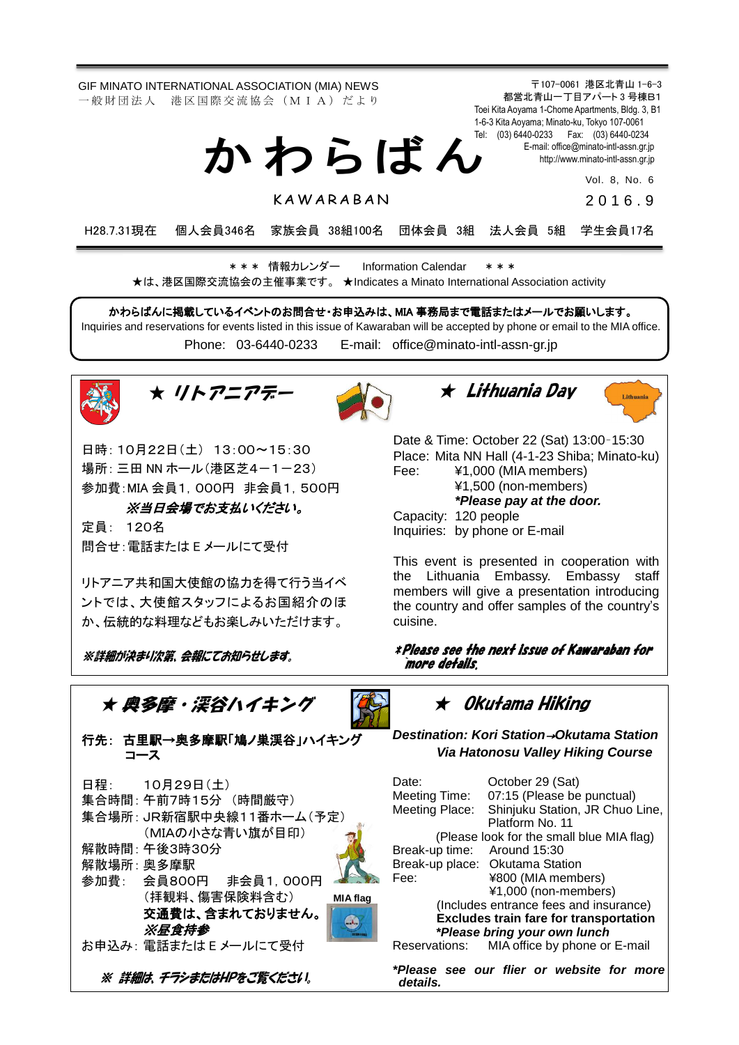GIF MINATO INTERNATIONAL ASSOCIATION (MIA) NEWS 一 般 財 団 法 人 港 区 国 際 交 流 協 会 (M I A) だ よ り

か わ ら ば ん

**KAWARABAN** 

Toei Kita Aoyama 1-Chome Apartments, Bldg. 3, B1 1-6-3 Kita Aoyama; Minato-ku, Tokyo 107-0061 Tel: (03) 6440-0233 Fax: (03) 6440-0234 E-mail[: office@minato-intl-assn.gr.jp](mailto:office@minato-intl-assn.gr.jp) [http://www.minato-intl-assn.gr.jp](http://www.minato-intl-assn.gr.jp/) Vol. 8, No. 6

〒107-0061 港区北青山 1-6-3 都営北青山一丁目アパート 3 号棟B1

201 6 . 9

H28.7.31現在 個人会員346名 家族会員 38組100名 団体会員 3組 法人会員 5組 学生会員17名

\* \* \* 情報カレンダー Information Calendar \* \* \* ★は、港区国際交流協会の主催事業です。 ★Indicates a Minato International Association activity

かわらばんに掲載しているイベントのお問合せ・お申込みは、MIA 事務局まで電話またはメールでお願いします。 Inquiries and reservations for events listed in this issue of Kawaraban will be accepted by phone or email to the MIA office. Phone: [03-6440-0233](mailto:TEL:%0903-6440-0233) E-mail: [office@minato-intl-assn-gr.jp](mailto:office@minato-intl-assn-gr.jp)





日時: 10月22日(土) 13:00~15:30 場所: 三田 NN ホール (港区芝4-1-23) 参加費:MIA 会員1,000円 非会員1,500円

※当日会場でお支払いください。

定員: 120名 問合せ:電話または E メールにて受付

リトアニア共和国大使館の協力を得て行う当イベ ントでは、大使館スタッフによるお国紹介のほ か、伝統的な料理などもお楽しみいただけます。

※詳細が決まり次第、会報にてお知らせします。







Date & Time: October 22 (Sat) 13:00–15:30 Place: Mita NN Hall (4-1-23 Shiba; Minato-ku) Fee: ¥1,000 (MIA members) ¥1,500 (non-members)

*\*Please pay at the door.*

Capacity: 120 people Inquiries: by phone or E-mail

This event is presented in cooperation with the Lithuania Embassy. Embassy staff members will give a presentation introducing the country and offer samples of the country's cuisine.

\* Please see the next issue of Kawaraban for `more details.



行先: 古里駅→奥多摩駅「鳩ノ巣渓谷」ハイキング コース

| 日程:        | 10月29日(土)                |                 |
|------------|--------------------------|-----------------|
|            | 集合時間:午前7時15分 (時間厳守)      |                 |
|            | 集合場所: JR新宿駅中央線11番ホーム(予定) |                 |
|            | (MIAの小さな青い旗が目印)          |                 |
|            | 解散時間:午後3時30分             |                 |
| 解散場所: 奥多摩駅 |                          |                 |
|            | 参加費: 会員800円 非会員1,000円    |                 |
|            | (拝観料、傷害保険料含む)            | <b>MIA flag</b> |
|            | 交通費は、含まれておりません。          |                 |
|            | ※昼食持参                    |                 |
|            | お申込み: 電話または E メールにて受付    |                 |
|            |                          |                 |

※ 詳細は、チラシまたはHPをご覧ください。

★ Okutama Hiking

*Destination: Kori Station*→*Okutama Station Via Hatonosu Valley Hiking Course*

| Date:                                     | October 29 (Sat)                              |  |  |
|-------------------------------------------|-----------------------------------------------|--|--|
| Meeting Time:                             | 07:15 (Please be punctual)                    |  |  |
| Meeting Place:                            | Shinjuku Station, JR Chuo Line,               |  |  |
|                                           | Platform No. 11                               |  |  |
| (Please look for the small blue MIA flag) |                                               |  |  |
| Break-up time: Around 15:30               |                                               |  |  |
|                                           | Break-up place: Okutama Station               |  |  |
| Fee:                                      | ¥800 (MIA members)                            |  |  |
|                                           | ¥1,000 (non-members)                          |  |  |
| (Includes entrance fees and insurance)    |                                               |  |  |
|                                           | <b>Excludes train fare for transportation</b> |  |  |
| *Please bring your own lunch              |                                               |  |  |
| Reservations:                             | MIA office by phone or E-mail                 |  |  |
| details.                                  | *Please see our flier or website for more     |  |  |